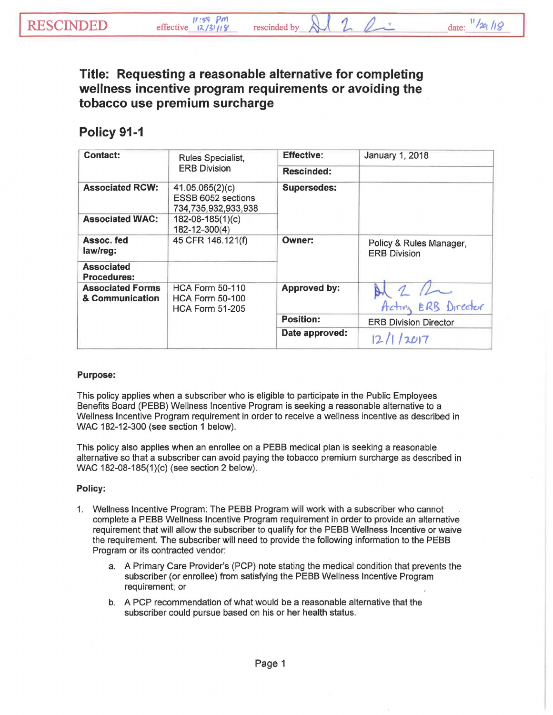rescinded by



**Title: Requesting a reasonable alternative for completing wellness incentive program requirements or avoiding the tobacco use premium surcharge** 

## **Policy 91-1**

| <b>Contact:</b>                            | Rules Specialist,<br><b>ERB Division</b>                                   | <b>Effective:</b>   | January 1, 2018                                |
|--------------------------------------------|----------------------------------------------------------------------------|---------------------|------------------------------------------------|
|                                            |                                                                            | <b>Rescinded:</b>   |                                                |
| <b>Associated RCW:</b>                     | 41.05.065(2)(c)<br>ESSB 6052 sections<br>734,735,932,933,938               | <b>Supersedes:</b>  |                                                |
| <b>Associated WAC:</b>                     | $182 - 08 - 185(1)(c)$<br>182-12-300(4)                                    |                     |                                                |
| Assoc. fed<br>law/reg:                     | 45 CFR 146.121(f)                                                          | <b>Owner:</b>       | Policy & Rules Manager,<br><b>ERB Division</b> |
| <b>Associated</b><br><b>Procedures:</b>    |                                                                            |                     |                                                |
| <b>Associated Forms</b><br>& Communication | <b>HCA Form 50-110</b><br><b>HCA Form 50-100</b><br><b>HCA Form 51-205</b> | <b>Approved by:</b> | Acting ERB Director                            |
|                                            |                                                                            | <b>Position:</b>    | <b>ERB Division Director</b>                   |
|                                            |                                                                            | Date approved:      | 2017                                           |

## Purpose:

This policy applies when a subscriber who is eligible to participate in the Public Employees Benefits Board (PEBB) Wellness Incentive Program is seeking a reasonable alternative to a Wellness Incentive Program requirement in order to receive a wellness incentive as described in WAC 182-12-300 (see section 1 below).

This policy also applies when an enrollee on a PEBB medical plan is seeking a reasonable alternative so that a subscriber can avoid paying the tobacco premium surcharge as described in WAC 182-08-185(1)(c) (see section 2 below).

## Policy:

- 1. Wellness Incentive Program: The PEBB Program will work with a subscriber who cannot complete a PEBB Wellness Incentive Program requirement in order to provide an alternative requirement that will allow the subscriber to qualify for the PEBB Wellness Incentive or waive the requirement. The subscriber will need to provide the following information to the PEBB Program or its contracted vendor:
	- a. A Primary Care Provider's (PCP) note stating the medical condition that prevents the subscriber (or enrollee) from satisfying the PEBB Wellness Incentive Program requirement; or
	- b. A PCP recommendation of what would be a reasonable alternative that the subscriber could pursue based on his or her health status.